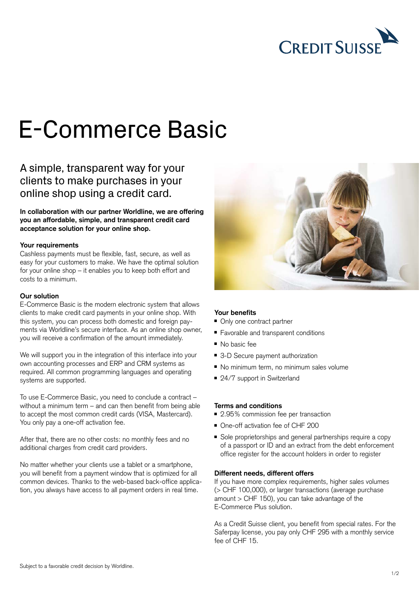

# E-Commerce Basic

# A simple, transparent way for your clients to make purchases in your online shop using a credit card.

**In collaboration with our partner Worldline, we are offering you an affordable, simple, and transparent credit card acceptance solution for your online shop.**

#### **Your requirements**

Cashless payments must be flexible, fast, secure, as well as easy for your customers to make. We have the optimal solution for your online shop – it enables you to keep both effort and costs to a minimum.

#### **Our solution**

E-Commerce Basic is the modern electronic system that allows clients to make credit card payments in your online shop. With this system, you can process both domestic and foreign payments via Worldline's secure interface. As an online shop owner, you will receive a confirmation of the amount immediately.

We will support you in the integration of this interface into your own accounting processes and ERP and CRM systems as required. All common programming languages and operating systems are supported.

To use E-Commerce Basic, you need to conclude a contract – without a minimum term – and can then benefit from being able to accept the most common credit cards (VISA, Mastercard). You only pay a one-off activation fee.

After that, there are no other costs: no monthly fees and no additional charges from credit card providers.

No matter whether your clients use a tablet or a smartphone, you will benefit from a payment window that is optimized for all common devices. Thanks to the web-based back-office application, you always have access to all payment orders in real time.



# **Your benefits**

- Only one contract partner
- Favorable and transparent conditions
- No basic fee
- 3-D Secure payment authorization
- No minimum term, no minimum sales volume
- 24/7 support in Switzerland

# **Terms and conditions**

- 2.95% commission fee per transaction
- One-off activation fee of CHF 200
- Sole proprietorships and general partnerships require a copy of a passport or ID and an extract from the debt enforcement office register for the account holders in order to register

#### **Different needs, different offers**

If you have more complex requirements, higher sales volumes (> CHF 100,000), or larger transactions (average purchase amount > CHF 150), you can take advantage of the E-Commerce Plus solution.

As a Credit Suisse client, you benefit from special rates. For the Saferpay license, you pay only CHF 295 with a monthly service fee of CHF 15.